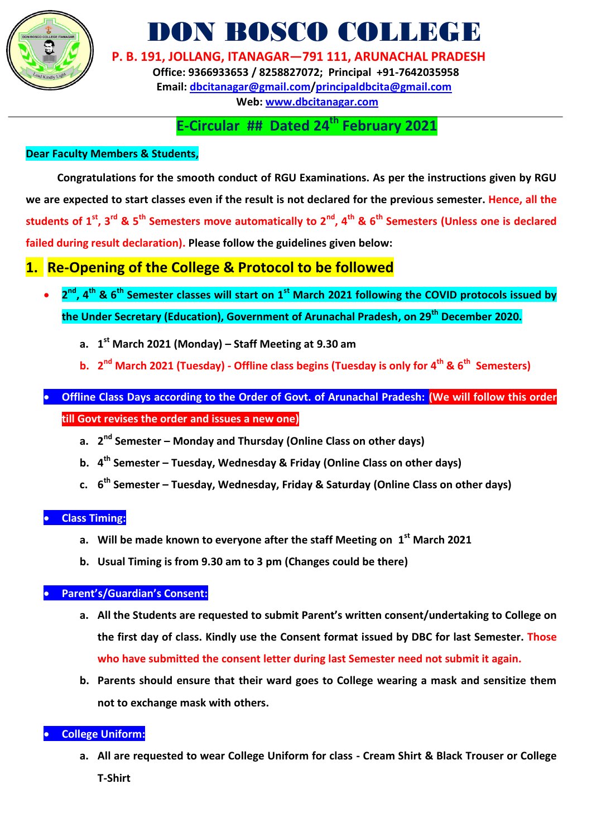

# DON BOSCO COLLEGE

**P. B. 191, JOLLANG, ITANAGAR—791 111, ARUNACHAL PRADESH**

 **Office: 9366933653 / 8258827072; Principal +91-7642035958 Email: [dbcitanagar@gmail.com/](mailto:dbcitanagar@gmail.com)principaldbcita@gmail.com Web: [www.dbcitanagar.com](http://www.dbcitanagar.com/)**

## **E-Circular ## Dated 24 th February 2021**

#### **Dear Faculty Members & Students,**

**Congratulations for the smooth conduct of RGU Examinations. As per the instructions given by RGU we are expected to start classes even if the result is not declared for the previous semester. Hence, all the students of 1st, 3rd & 5th Semesters move automatically to 2nd, 4th & 6th Semesters (Unless one is declared failed during result declaration). Please follow the guidelines given below:**

### **1. Re-Opening of the College & Protocol to be followed**

- **0 2**<sup>nd</sup>, 4<sup>th</sup> & 6<sup>th</sup> Semester classes will start on 1<sup>st</sup> March 2021 following the COVID protocols issued by **the Under Secretary (Education), Government of Arunachal Pradesh, on 29 th December 2020.** 
	- **a. 1 st March 2021 (Monday) – Staff Meeting at 9.30 am**
	- **b. 2 nd March 2021 (Tuesday) - Offline class begins (Tuesday is only for 4 th & 6th Semesters)**

### **Offline Class Days according to the Order of Govt. of Arunachal Pradesh: (We will follow this order till Govt revises the order and issues a new one)**

- **a. 2 nd Semester – Monday and Thursday (Online Class on other days)**
- **b. 4 th Semester – Tuesday, Wednesday & Friday (Online Class on other days)**
- **c. 6 th Semester – Tuesday, Wednesday, Friday & Saturday (Online Class on other days)**

#### **Class Timing:**

- **a. Will be made known to everyone after the staff Meeting on 1 st March 2021**
- **b. Usual Timing is from 9.30 am to 3 pm (Changes could be there)**

#### **Parent's/Guardian's Consent:**

- **a. All the Students are requested to submit Parent's written consent/undertaking to College on the first day of class. Kindly use the Consent format issued by DBC for last Semester. Those who have submitted the consent letter during last Semester need not submit it again.**
- **b. Parents should ensure that their ward goes to College wearing a mask and sensitize them not to exchange mask with others.**

#### **College Uniform:**

**a. All are requested to wear College Uniform for class - Cream Shirt & Black Trouser or College T-Shirt**